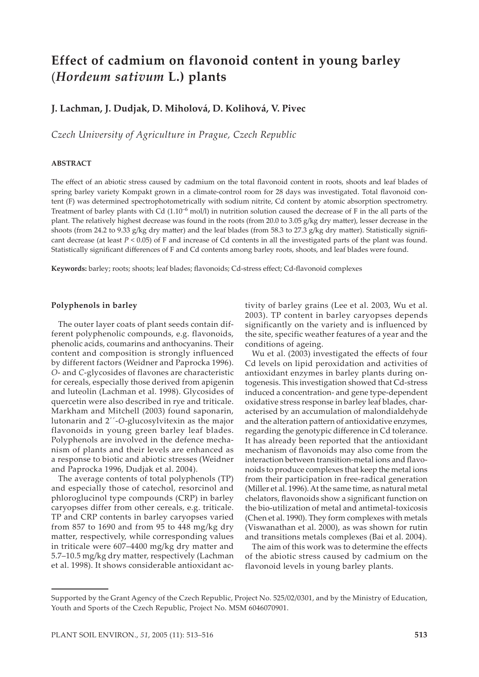# **Effect of cadmium on flavonoid content in young barley**  (*Hordeum sativum* **L.) plants**

## **J. Lachman, J. Dudjak, D. Miholová, D. Kolihová, V. Pivec**

*Czech University of Agriculture in Prague, Czech Republic*

## **ABSTRACT**

The effect of an abiotic stress caused by cadmium on the total flavonoid content in roots, shoots and leaf blades of spring barley variety Kompakt grown in a climate-control room for 28 days was investigated. Total flavonoid content (F) was determined spectrophotometrically with sodium nitrite, Cd content by atomic absorption spectrometry. Treatment of barley plants with Cd  $(1.10^{-6}$  mol/l) in nutrition solution caused the decrease of F in the all parts of the plant. The relatively highest decrease was found in the roots (from 20.0 to 3.05 g/kg dry ma�er), lesser decrease in the shoots (from 24.2 to 9.33 g/kg dry matter) and the leaf blades (from 58.3 to 27.3 g/kg dry matter). Statistically significant decrease (at least *P* < 0.05) of F and increase of Cd contents in all the investigated parts of the plant was found. Statistically significant differences of F and Cd contents among barley roots, shoots, and leaf blades were found.

**Keywords:** barley; roots; shoots; leaf blades; flavonoids; Cd-stress effect; Cd-flavonoid complexes

#### **Polyphenols in barley**

The outer layer coats of plant seeds contain different polyphenolic compounds, e.g. flavonoids, phenolic acids, coumarins and anthocyanins. Their content and composition is strongly influenced by different factors (Weidner and Paprocka 1996). *O*- and *C*-glycosides of flavones are characteristic for cereals, especially those derived from apigenin and luteolin (Lachman et al. 1998). Glycosides of quercetin were also described in rye and triticale. Markham and Mitchell (2003) found saponarin, lutonarin and 2´´-*O*-glucosylvitexin as the major flavonoids in young green barley leaf blades. Polyphenols are involved in the defence mechanism of plants and their levels are enhanced as a response to biotic and abiotic stresses (Weidner and Paprocka 1996, Dudjak et al. 2004).

The average contents of total polyphenols (TP) and especially those of catechol, resorcinol and phloroglucinol type compounds (CRP) in barley caryopses differ from other cereals, e.g. triticale. TP and CRP contents in barley caryopses varied from 857 to 1690 and from 95 to 448 mg/kg dry matter, respectively, while corresponding values in triticale were 607–4400 mg/kg dry matter and 5.7–10.5 mg/kg dry matter, respectively (Lachman et al. 1998). It shows considerable antioxidant activity of barley grains (Lee et al. 2003, Wu et al. 2003). TP content in barley caryopses depends significantly on the variety and is influenced by the site, specific weather features of a year and the conditions of ageing.

Wu et al. (2003) investigated the effects of four Cd levels on lipid peroxidation and activities of antioxidant enzymes in barley plants during ontogenesis. This investigation showed that Cd-stress induced a concentration- and gene type-dependent oxidative stress response in barley leaf blades, characterised by an accumulation of malondialdehyde and the alteration pattern of antioxidative enzymes, regarding the genotypic difference in Cd tolerance. It has already been reported that the antioxidant mechanism of flavonoids may also come from the interaction between transition-metal ions and flavonoids to produce complexes that keep the metal ions from their participation in free-radical generation (Miller et al. 1996). At the same time, as natural metal chelators, flavonoids show a significant function on the bio-utilization of metal and antimetal-toxicosis (Chen et al. 1990). They form complexes with metals (Viswanathan et al. 2000), as was shown for rutin and transitions metals complexes (Bai et al. 2004).

The aim of this work was to determine the effects of the abiotic stress caused by cadmium on the flavonoid levels in young barley plants.

Supported by the Grant Agency of the Czech Republic, Project No. 525/02/0301, and by the Ministry of Education, Youth and Sports of the Czech Republic, Project No. MSM 6046070901.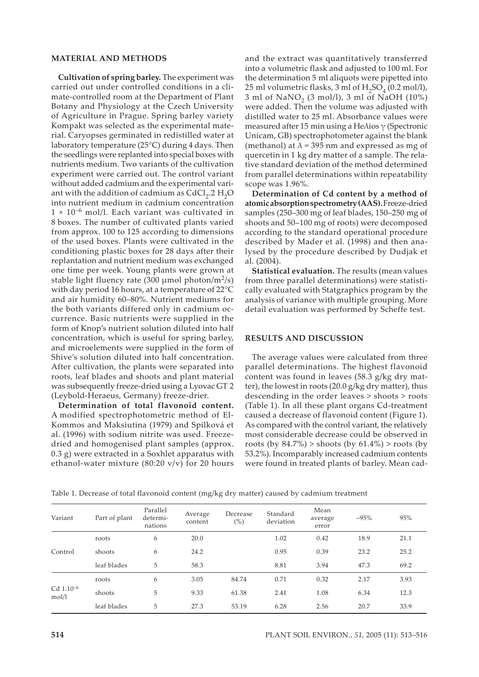## **MATERIAL AND METHODS**

**Cultivation of spring barley.** The experiment was carried out under controlled conditions in a climate-controlled room at the Department of Plant Botany and Physiology at the Czech University of Agriculture in Prague. Spring barley variety Kompakt was selected as the experimental material. Caryopses germinated in redistilled water at laboratory temperature (25°C) during 4 days. Then the seedlings were replanted into special boxes with nutrients medium. Two variants of the cultivation experiment were carried out. The control variant without added cadmium and the experimental variant with the addition of cadmium as  $CdCl<sub>2</sub>$ .2 H<sub>2</sub>O into nutrient medium in cadmium concentration  $1 \times 10^{-6}$  mol/l. Each variant was cultivated in 8 boxes. The number of cultivated plants varied from approx. 100 to 125 according to dimensions of the used boxes. Plants were cultivated in the conditioning plastic boxes for 28 days after their replantation and nutrient medium was exchanged one time per week. Young plants were grown at stable light fluency rate (300  $\mu$ mol photon/m<sup>2</sup>/s) with day period 16 hours, at a temperature of 22°C and air humidity 60–80%. Nutrient mediums for the both variants differed only in cadmium occurrence. Basic nutrients were supplied in the form of Knop's nutrient solution diluted into half concentration, which is useful for spring barley, and microelements were supplied in the form of Shive's solution diluted into half concentration. After cultivation, the plants were separated into roots, leaf blades and shoots and plant material was subsequently freeze-dried using a Lyovac GT 2 (Leybold-Heraeus, Germany) freeze-drier.

**Determination of total flavonoid content.** A modified spectrophotometric method of El-Kommos and Maksiutina (1979) and Spilková et al. (1996) with sodium nitrite was used. Freezedried and homogenised plant samples (approx. 0.3 g) were extracted in a Soxhlet apparatus with ethanol-water mixture  $(80:20 \text{ v/v})$  for 20 hours

and the extract was quantitatively transferred into a volumetric flask and adjusted to 100 ml. For the determination 5 ml aliquots were pipetted into 25 ml volumetric flasks, 3 ml of  $H_2SO_4$  (0.2 mol/l), 3 ml of NaNO<sub>2</sub> (3 mol/l), 3 ml of NaOH (10%) were added. Then the volume was adjusted with distilled water to 25 ml. Absorbance values were measured after 15 min using a He $\lambda$ ios  $\gamma$  (Spectronic Unicam, GB) spectrophotometer against the blank (methanol) at  $\lambda$  = 395 nm and expressed as mg of quercetin in 1 kg dry matter of a sample. The relative standard deviation of the method determined from parallel determinations within repeatability scope was 1.96%.

**Determination of Cd content by a method of atomic absorption spectrometry (AAS).** Freeze-dried samples (250–300 mg of leaf blades, 150–250 mg of shoots and 50–100 mg of roots) were decomposed according to the standard operational procedure described by Mader et al. (1998) and then analysed by the procedure described by Dudjak et al. (2004).

**Statistical evaluation.** The results (mean values from three parallel determinations) were statistically evaluated with Statgraphics program by the analysis of variance with multiple grouping. More detail evaluation was performed by Scheffe test.

#### **RESULTS AND DISCUSSION**

The average values were calculated from three parallel determinations. The highest flavonoid content was found in leaves (58.3 g/kg dry matter), the lowest in roots (20.0 g/kg dry matter), thus descending in the order leaves > shoots > roots (Table 1). In all these plant organs Cd-treatment caused a decrease of flavonoid content (Figure 1). As compared with the control variant, the relatively most considerable decrease could be observed in roots (by  $84.7\%$ ) > shoots (by  $61.4\%$ ) > roots (by 53.2%). Incomparably increased cadmium contents were found in treated plants of barley. Mean cad-

| Variant                          | Part of plant | Parallel<br>determi-<br>nations | Average<br>content | Decrease<br>$(\% )$ | Standard<br>deviation | Mean<br>average<br>error | $-95%$ | 95%  |
|----------------------------------|---------------|---------------------------------|--------------------|---------------------|-----------------------|--------------------------|--------|------|
|                                  | roots         | 6                               | 20.0               |                     | 1.02                  | 0.42                     | 18.9   | 21.1 |
| Control                          | shoots        | 6                               | 24.2               |                     | 0.95                  | 0.39                     | 23.2   | 25.2 |
|                                  | leaf blades   | 5                               | 58.3               |                     | 8.81                  | 3.94                     | 47.3   | 69.2 |
| $Cd$ 1.10 <sup>-6</sup><br>mol/l | roots         | 6                               | 3.05               | 84.74               | 0.71                  | 0.32                     | 2.17   | 3.93 |
|                                  | shoots        | 5                               | 9.33               | 61.38               | 2.41                  | 1.08                     | 6.34   | 12.3 |
|                                  | leaf blades   | 5                               | 27.3               | 53.19               | 6.28                  | 2.56                     | 20.7   | 33.9 |

Table 1. Decrease of total flavonoid content (mg/kg dry matter) caused by cadmium treatment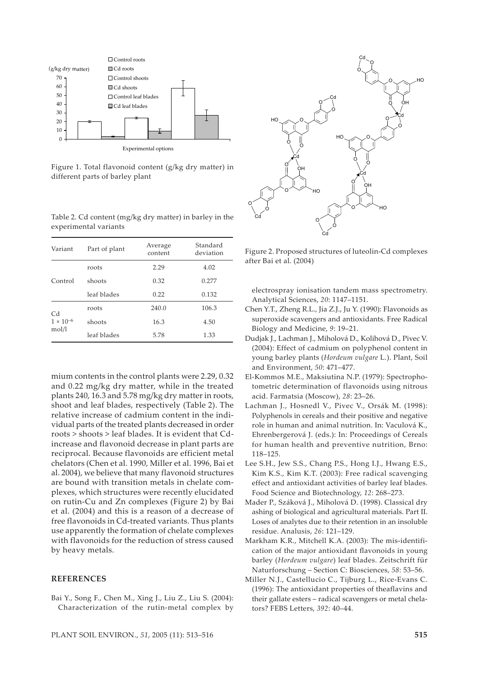

Figure 1. Total flavonoid content (g/kg dry matter) in different parts of barley plant

Table 2. Cd content (mg/kg dry matter) in barley in the experimental variants

| Variant            | Part of plant | Average<br>content | Standard<br>deviation |  |
|--------------------|---------------|--------------------|-----------------------|--|
|                    | roots         | 2.29               | 4.02                  |  |
| Control            | shoots        | 0.32               | 0.277                 |  |
|                    | leaf blades   | 0.22               | 0.132                 |  |
| Cd                 | roots         | 240.0              | 106.3                 |  |
| $1 \times 10^{-6}$ | shoots        | 16.3               | 4.50                  |  |
| mol/l              | leaf blades   | 5.78               | 1.33                  |  |

mium contents in the control plants were 2.29, 0.32 and 0.22 mg/kg dry matter, while in the treated plants 240, 16.3 and 5.78 mg/kg dry matter in roots, shoot and leaf blades, respectively (Table 2). The relative increase of cadmium content in the individual parts of the treated plants decreased in order roots > shoots > leaf blades. It is evident that Cdincrease and flavonoid decrease in plant parts are reciprocal. Because flavonoids are efficient metal chelators (Chen et al. 1990, Miller et al. 1996, Bai et al. 2004), we believe that many flavonoid structures are bound with transition metals in chelate complexes, which structures were recently elucidated on rutin-Cu and Zn complexes (Figure 2) by Bai et al. (2004) and this is a reason of a decrease of free flavonoids in Cd-treated variants. Thus plants use apparently the formation of chelate complexes with flavonoids for the reduction of stress caused by heavy metals.

## **REFERENCES**

Bai Y., Song F., Chen M., Xing J., Liu Z., Liu S. (2004): Characterization of the rutin-metal complex by



Figure 2. Proposed structures of luteolin-Cd complexes after Bai et al. (2004)

electrospray ionisation tandem mass spectrometry. Analytical Sciences, *20*: 1147–1151.

- Chen Y.T., Zheng R.L., Jia Z.J., Ju Y. (1990): Flavonoids as superoxide scavengers and antioxidants. Free Radical Biology and Medicine, *9*: 19–21.
- Dudjak J., Lachman J., Miholová D., Kolihová D., Pivec V. (2004): Effect of cadmium on polyphenol content in young barley plants (*Hordeum vulgare* L.). Plant, Soil and Environment, *50*: 471–477.
- El-Kommos M.E., Maksiutina N.P. (1979): Spectrophotometric determination of flavonoids using nitrous acid. Farmatsia (Moscow), *28*: 23–26.
- Lachman J., Hosnedl V., Pivec V., Orsák M. (1998): Polyphenols in cereals and their positive and negative role in human and animal nutrition. In: Vaculová K., Ehrenbergerová J. (eds.): In: Proceedings of Cereals for human health and preventive nutrition, Brno: 118–125.
- Lee S.H., Jew S.S., Chang P.S., Hong I.J., Hwang E.S., Kim K.S., Kim K.T. (2003): Free radical scavenging effect and antioxidant activities of barley leaf blades. Food Science and Biotechnology, *12*: 268–273.
- Mader P., Száková J., Miholová D. (1998). Classical dry ashing of biological and agricultural materials. Part II. Loses of analytes due to their retention in an insoluble residue. Analusis, *26*: 121–129.
- Markham K.R., Mitchell K.A. (2003): The mis-identification of the major antioxidant flavonoids in young barley (*Hordeum vulgare*) leaf blades. Zeitschrift für Naturforschung – Section C: Biosciences, *58*: 53–56.
- Miller N.J., Castellucio C., Tijburg L., Rice-Evans C. (1996): The antioxidant properties of theaflavins and their gallate esters – radical scavengers or metal chelators? FEBS Letters, *392*: 40–44.